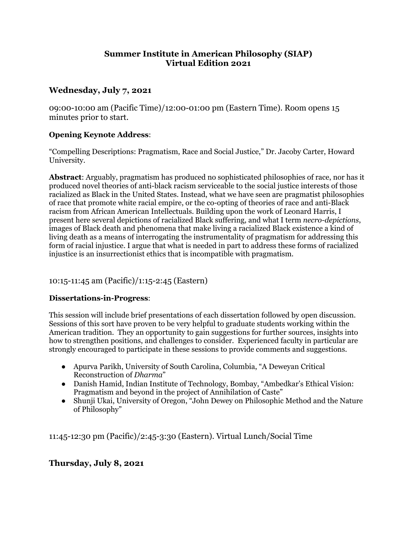## **Summer Institute in American Philosophy (SIAP) Virtual Edition 2021**

# **Wednesday, July 7, 2021**

09:00-10:00 am (Pacific Time)/12:00-01:00 pm (Eastern Time). Room opens 15 minutes prior to start.

### **Opening Keynote Address**:

"Compelling Descriptions: Pragmatism, Race and Social Justice," Dr. Jacoby Carter, Howard University.

**Abstract**: Arguably, pragmatism has produced no sophisticated philosophies of race, nor has it produced novel theories of anti-black racism serviceable to the social justice interests of those racialized as Black in the United States. Instead, what we have seen are pragmatist philosophies of race that promote white racial empire, or the co-opting of theories of race and anti-Black racism from African American Intellectuals. Building upon the work of Leonard Harris, I present here several depictions of racialized Black suffering, and what I term *necro-depictions*, images of Black death and phenomena that make living a racialized Black existence a kind of living death as a means of interrogating the instrumentality of pragmatism for addressing this form of racial injustice. I argue that what is needed in part to address these forms of racialized injustice is an insurrectionist ethics that is incompatible with pragmatism.

## 10:15-11:45 am (Pacific)/1:15-2:45 (Eastern)

## **Dissertations-in-Progress**:

This session will include brief presentations of each dissertation followed by open discussion. Sessions of this sort have proven to be very helpful to graduate students working within the American tradition. They an opportunity to gain suggestions for further sources, insights into how to strengthen positions, and challenges to consider. Experienced faculty in particular are strongly encouraged to participate in these sessions to provide comments and suggestions.

- Apurva Parikh, University of South Carolina, Columbia, "A Deweyan Critical Reconstruction of *Dharma*"
- Danish Hamid, Indian Institute of Technology, Bombay, "Ambedkar's Ethical Vision: Pragmatism and beyond in the project of Annihilation of Caste"
- Shunji Ukai, University of Oregon, "John Dewey on Philosophic Method and the Nature of Philosophy"

11:45-12:30 pm (Pacific)/2:45-3:30 (Eastern). Virtual Lunch/Social Time

## **Thursday, July 8, 2021**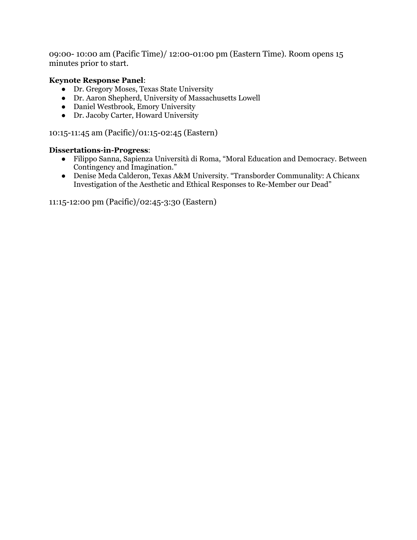09:00- 10:00 am (Pacific Time)/ 12:00-01:00 pm (Eastern Time). Room opens 15 minutes prior to start.

### **Keynote Response Panel**:

- Dr. Gregory Moses, Texas State University
- Dr. Aaron Shepherd, University of Massachusetts Lowell
- Daniel Westbrook, Emory University
- Dr. Jacoby Carter, Howard University

10:15-11:45 am (Pacific)/01:15-02:45 (Eastern)

#### **Dissertations-in-Progress**:

- Filippo Sanna, Sapienza Università di Roma, "Moral Education and Democracy. Between Contingency and Imagination."
- Denise Meda Calderon, Texas A&M University. "Transborder Communality: A Chicanx Investigation of the Aesthetic and Ethical Responses to Re-Member our Dead"

11:15-12:00 pm (Pacific)/02:45-3:30 (Eastern)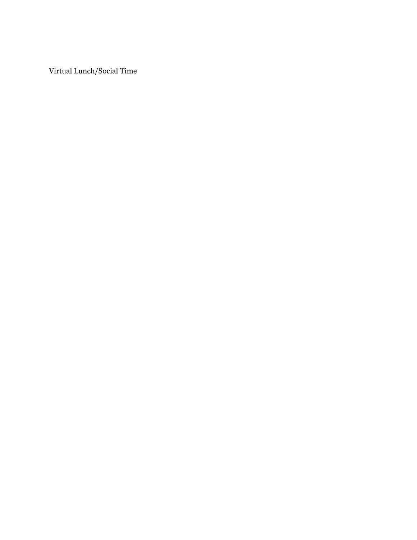Virtual Lunch/Social Time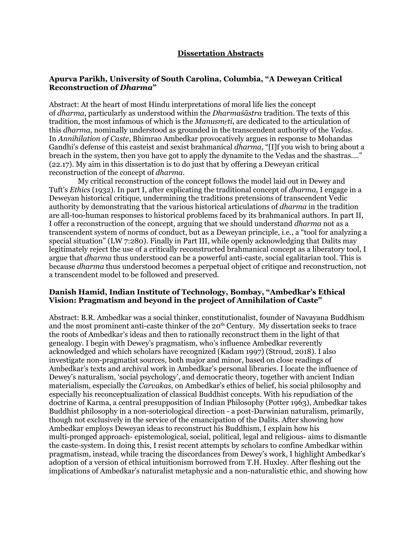#### **Dissertation Abstracts**

### **Apurva Parikh, University of South Carolina, Columbia, "A Deweyan Critical Reconstruction of** *Dharma***"**

Abstract: At the heart of most Hindu interpretations of moral life lies the concept of *dharma,* particularly as understood within the *Dharmaśāstra* tradition. The texts of this tradition, the most infamous of which is the *Manusmṛti*, are dedicated to the articulation of this *dharma*, nominally understood as grounded in the transcendent authority of the *Vedas*. In *Annihilation of Caste*, Bhimrao Ambedkar provocatively argues in response to Mohandas Gandhi's defense of this casteist and sexist brahmanical *dharma*, "[I]f you wish to bring about a breach in the system, then you have got to apply the dynamite to the Vedas and the shastras…." (22.17). My aim in this dissertation is to do just that by offering a Deweyan critical reconstruction of the concept of *dharma*.

My critical reconstruction of the concept follows the model laid out in Dewey and Tuft's *Ethics* (1932). In part I, after explicating the traditional concept of *dharma,* I engage in a Deweyan historical critique, undermining the traditions pretensions of transcendent Vedic authority by demonstrating that the various historical articulations of *dharma* in the tradition are all-too-human responses to historical problems faced by its brahmanical authors. In part II, I offer a reconstruction of the concept, arguing that we should understand *dharma* not as a transcendent system of norms of conduct, but as a Deweyan principle, i.e., a "tool for analyzing a special situation" (LW 7:280). Finally in Part III, while openly acknowledging that Dalits may legitimately reject the use of a critically reconstructed brahmanical concept as a liberatory tool, I argue that *dharma* thus understood can be a powerful anti-caste, social egalitarian tool. This is because *dharma* thus understood becomes a perpetual object of critique and reconstruction, not a transcendent model to be followed and preserved.

#### **Danish Hamid, Indian Institute of Technology, Bombay, "Ambedkar's Ethical Vision: Pragmatism and beyond in the project of Annihilation of Caste"**

Abstract: B.R. Ambedkar was a social thinker, constitutionalist, founder of Navayana Buddhism and the most prominent anti-caste thinker of the  $20<sup>th</sup>$  Century. My dissertation seeks to trace the roots of Ambedkar's ideas and then to rationally reconstruct them in the light of that genealogy. I begin with Dewey's pragmatism, who's influence Ambedkar reverently acknowledged and which scholars have recognized (Kadam 1997) (Stroud, 2018). I also investigate non-pragmatist sources, both major and minor, based on close readings of Ambedkar's texts and archival work in Ambedkar's personal libraries. I locate the influence of Dewey's naturalism, 'social psychology', and democratic theory, together with ancient Indian materialism, especially the *Carvakas*, on Ambedkar's ethics of belief, his social philosophy and especially his reconceptualization of classical Buddhist concepts. With his repudiation of the doctrine of Karma, a central presupposition of Indian Philosophy (Potter 1963), Ambedkar takes Buddhist philosophy in a non-soteriological direction - a post-Darwinian naturalism, primarily, though not exclusively in the service of the emancipation of the Dalits. After showing how Ambedkar employs Deweyan ideas to reconstruct his Buddhism, I explain how his multi-pronged approach- epistemological, social, political, legal and religious- aims to dismantle the caste-system. In doing this, I resist recent attempts by scholars to confine Ambedkar within pragmatism, instead, while tracing the discordances from Dewey's work, I highlight Ambedkar's adoption of a version of ethical intuitionism borrowed from T.H. Huxley. After fleshing out the implications of Ambedkar's naturalist metaphysic and a non-naturalistic ethic, and showing how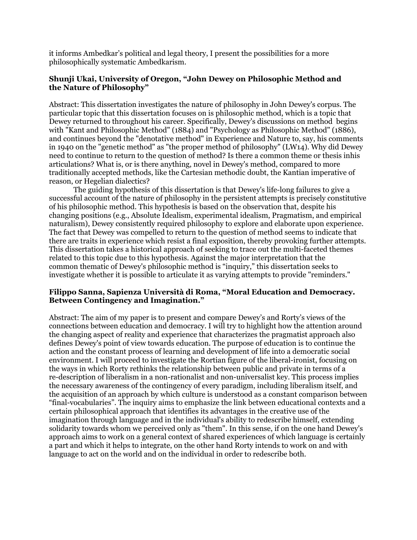it informs Ambedkar's political and legal theory, I present the possibilities for a more philosophically systematic Ambedkarism.

### **Shunji Ukai, University of Oregon, "John Dewey on Philosophic Method and the Nature of Philosophy"**

Abstract: This dissertation investigates the nature of philosophy in John Dewey's corpus. The particular topic that this dissertation focuses on is philosophic method, which is a topic that Dewey returned to throughout his career. Specifically, Dewey's discussions on method begins with "Kant and Philosophic Method" (1884) and "Psychology as Philosophic Method" (1886), and continues beyond the "denotative method" in Experience and Nature to, say, his comments in 1940 on the "genetic method" as "the proper method of philosophy" (LW14). Why did Dewey need to continue to return to the question of method? Is there a common theme or thesis inhis articulations? What is, or is there anything, novel in Dewey's method, compared to more traditionally accepted methods, like the Cartesian methodic doubt, the Kantian imperative of reason, or Hegelian dialectics?

The guiding hypothesis of this dissertation is that Dewey's life-long failures to give a successful account of the nature of philosophy in the persistent attempts is precisely constitutive of his philosophic method. This hypothesis is based on the observation that, despite his changing positions (e.g., Absolute Idealism, experimental idealism, Pragmatism, and empirical naturalism), Dewey consistently required philosophy to explore and elaborate upon experience. The fact that Dewey was compelled to return to the question of method seems to indicate that there are traits in experience which resist a final exposition, thereby provoking further attempts. This dissertation takes a historical approach of seeking to trace out the multi-faceted themes related to this topic due to this hypothesis. Against the major interpretation that the common thematic of Dewey's philosophic method is "inquiry," this dissertation seeks to investigate whether it is possible to articulate it as varying attempts to provide "reminders."

#### **Filippo Sanna, Sapienza Università di Roma, "Moral Education and Democracy. Between Contingency and Imagination."**

Abstract: The aim of my paper is to present and compare Dewey's and Rorty's views of the connections between education and democracy. I will try to highlight how the attention around the changing aspect of reality and experience that characterizes the pragmatist approach also defines Dewey's point of view towards education. The purpose of education is to continue the action and the constant process of learning and development of life into a democratic social environment. I will proceed to investigate the Rortian figure of the liberal-ironist, focusing on the ways in which Rorty rethinks the relationship between public and private in terms of a re-description of liberalism in a non-rationalist and non-universalist key. This process implies the necessary awareness of the contingency of every paradigm, including liberalism itself, and the acquisition of an approach by which culture is understood as a constant comparison between "final-vocabularies". The inquiry aims to emphasize the link between educational contexts and a certain philosophical approach that identifies its advantages in the creative use of the imagination through language and in the individual's ability to redescribe himself, extending solidarity towards whom we perceived only as "them". In this sense, if on the one hand Dewey's approach aims to work on a general context of shared experiences of which language is certainly a part and which it helps to integrate, on the other hand Rorty intends to work on and with language to act on the world and on the individual in order to redescribe both.